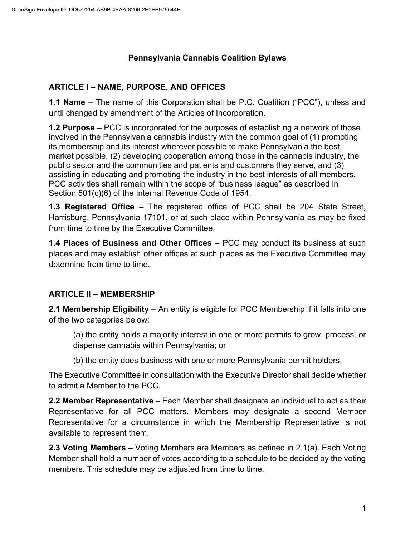## **Pennsylvania Cannabis Coalition Bylaws**

### **ARTICLE I – NAME, PURPOSE, AND OFFICES**

**1.1 Name** – The name of this Corporation shall be P.C. Coalition ("PCC"), unless and until changed by amendment of the Articles of Incorporation.

**1.2 Purpose** – PCC is incorporated for the purposes of establishing a network of those involved in the Pennsylvania cannabis industry with the common goal of (1) promoting its membership and its interest wherever possible to make Pennsylvania the best market possible, (2) developing cooperation among those in the cannabis industry, the public sector and the communities and patients and customers they serve, and (3) assisting in educating and promoting the industry in the best interests of all members. PCC activities shall remain within the scope of "business league" as described in Section 501(c)(6) of the Internal Revenue Code of 1954.

**1.3 Registered Office** – The registered office of PCC shall be 204 State Street, Harrisburg, Pennsylvania 17101, or at such place within Pennsylvania as may be fixed from time to time by the Executive Committee.

**1.4 Places of Business and Other Offices** – PCC may conduct its business at such places and may establish other offices at such places as the Executive Committee may determine from time to time.

### **ARTICLE II – MEMBERSHIP**

**2.1 Membership Eligibility** – An entity is eligible for PCC Membership if it falls into one of the two categories below:

(a) the entity holds a majority interest in one or more permits to grow, process, or dispense cannabis within Pennsylvania; or

(b) the entity does business with one or more Pennsylvania permit holders.

The Executive Committee in consultation with the Executive Director shall decide whether to admit a Member to the PCC.

**2.2 Member Representative** – Each Member shall designate an individual to act as their Representative for all PCC matters. Members may designate a second Member Representative for a circumstance in which the Membership Representative is not available to represent them.

**2.3 Voting Members –** Voting Members are Members as defined in 2.1(a). Each Voting Member shall hold a number of votes according to a schedule to be decided by the voting members. This schedule may be adjusted from time to time.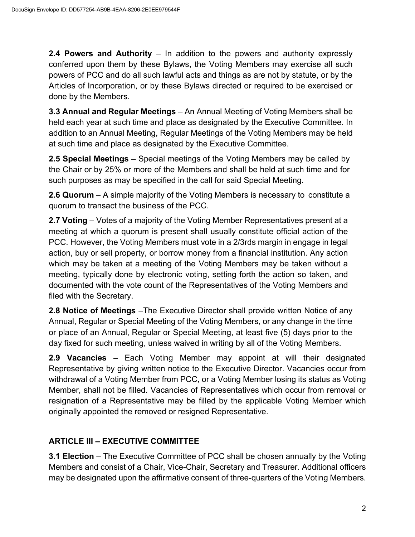**2.4 Powers and Authority** – In addition to the powers and authority expressly conferred upon them by these Bylaws, the Voting Members may exercise all such powers of PCC and do all such lawful acts and things as are not by statute, or by the Articles of Incorporation, or by these Bylaws directed or required to be exercised or done by the Members.

**3.3 Annual and Regular Meetings** – An Annual Meeting of Voting Members shall be held each year at such time and place as designated by the Executive Committee. In addition to an Annual Meeting, Regular Meetings of the Voting Members may be held at such time and place as designated by the Executive Committee.

**2.5 Special Meetings** – Special meetings of the Voting Members may be called by the Chair or by 25% or more of the Members and shall be held at such time and for such purposes as may be specified in the call for said Special Meeting.

**2.6 Quorum** – A simple majority of the Voting Members is necessary to constitute a quorum to transact the business of the PCC.

**2.7 Voting** – Votes of a majority of the Voting Member Representatives present at a meeting at which a quorum is present shall usually constitute official action of the PCC. However, the Voting Members must vote in a 2/3rds margin in engage in legal action, buy or sell property, or borrow money from a financial institution. Any action which may be taken at a meeting of the Voting Members may be taken without a meeting, typically done by electronic voting, setting forth the action so taken, and documented with the vote count of the Representatives of the Voting Members and filed with the Secretary.

**2.8 Notice of Meetings** –The Executive Director shall provide written Notice of any Annual, Regular or Special Meeting of the Voting Members, or any change in the time or place of an Annual, Regular or Special Meeting, at least five (5) days prior to the day fixed for such meeting, unless waived in writing by all of the Voting Members.

**2.9 Vacancies** – Each Voting Member may appoint at will their designated Representative by giving written notice to the Executive Director. Vacancies occur from withdrawal of a Voting Member from PCC, or a Voting Member losing its status as Voting Member, shall not be filled. Vacancies of Representatives which occur from removal or resignation of a Representative may be filled by the applicable Voting Member which originally appointed the removed or resigned Representative.

# **ARTICLE III – EXECUTIVE COMMITTEE**

**3.1 Election** – The Executive Committee of PCC shall be chosen annually by the Voting Members and consist of a Chair, Vice-Chair, Secretary and Treasurer. Additional officers may be designated upon the affirmative consent of three-quarters of the Voting Members.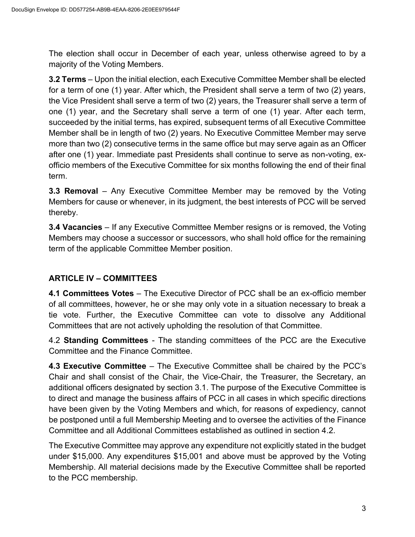The election shall occur in December of each year, unless otherwise agreed to by a majority of the Voting Members.

**3.2 Terms** – Upon the initial election, each Executive Committee Member shall be elected for a term of one (1) year. After which, the President shall serve a term of two (2) years, the Vice President shall serve a term of two (2) years, the Treasurer shall serve a term of one (1) year, and the Secretary shall serve a term of one (1) year. After each term, succeeded by the initial terms, has expired, subsequent terms of all Executive Committee Member shall be in length of two (2) years. No Executive Committee Member may serve more than two (2) consecutive terms in the same office but may serve again as an Officer after one (1) year. Immediate past Presidents shall continue to serve as non-voting, exofficio members of the Executive Committee for six months following the end of their final term.

**3.3 Removal** – Any Executive Committee Member may be removed by the Voting Members for cause or whenever, in its judgment, the best interests of PCC will be served thereby.

**3.4 Vacancies** – If any Executive Committee Member resigns or is removed, the Voting Members may choose a successor or successors, who shall hold office for the remaining term of the applicable Committee Member position.

# **ARTICLE IV – COMMITTEES**

**4.1 Committees Votes** – The Executive Director of PCC shall be an ex-officio member of all committees, however, he or she may only vote in a situation necessary to break a tie vote. Further, the Executive Committee can vote to dissolve any Additional Committees that are not actively upholding the resolution of that Committee.

4.2 **Standing Committees** - The standing committees of the PCC are the Executive Committee and the Finance Committee.

**4.3 Executive Committee** – The Executive Committee shall be chaired by the PCC's Chair and shall consist of the Chair, the Vice-Chair, the Treasurer, the Secretary, an additional officers designated by section 3.1. The purpose of the Executive Committee is to direct and manage the business affairs of PCC in all cases in which specific directions have been given by the Voting Members and which, for reasons of expediency, cannot be postponed until a full Membership Meeting and to oversee the activities of the Finance Committee and all Additional Committees established as outlined in section 4.2.

The Executive Committee may approve any expenditure not explicitly stated in the budget under \$15,000. Any expenditures \$15,001 and above must be approved by the Voting Membership. All material decisions made by the Executive Committee shall be reported to the PCC membership.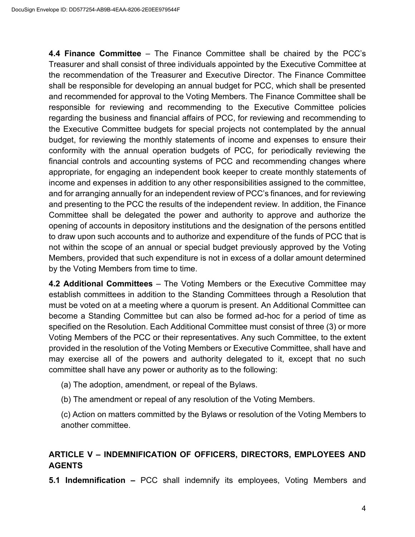**4.4 Finance Committee** – The Finance Committee shall be chaired by the PCC's Treasurer and shall consist of three individuals appointed by the Executive Committee at the recommendation of the Treasurer and Executive Director. The Finance Committee shall be responsible for developing an annual budget for PCC, which shall be presented and recommended for approval to the Voting Members. The Finance Committee shall be responsible for reviewing and recommending to the Executive Committee policies regarding the business and financial affairs of PCC, for reviewing and recommending to the Executive Committee budgets for special projects not contemplated by the annual budget, for reviewing the monthly statements of income and expenses to ensure their conformity with the annual operation budgets of PCC, for periodically reviewing the financial controls and accounting systems of PCC and recommending changes where appropriate, for engaging an independent book keeper to create monthly statements of income and expenses in addition to any other responsibilities assigned to the committee, and for arranging annually for an independent review of PCC's finances, and for reviewing and presenting to the PCC the results of the independent review. In addition, the Finance Committee shall be delegated the power and authority to approve and authorize the opening of accounts in depository institutions and the designation of the persons entitled to draw upon such accounts and to authorize and expenditure of the funds of PCC that is not within the scope of an annual or special budget previously approved by the Voting Members, provided that such expenditure is not in excess of a dollar amount determined by the Voting Members from time to time.

**4.2 Additional Committees** – The Voting Members or the Executive Committee may establish committees in addition to the Standing Committees through a Resolution that must be voted on at a meeting where a quorum is present. An Additional Committee can become a Standing Committee but can also be formed ad-hoc for a period of time as specified on the Resolution. Each Additional Committee must consist of three (3) or more Voting Members of the PCC or their representatives. Any such Committee, to the extent provided in the resolution of the Voting Members or Executive Committee, shall have and may exercise all of the powers and authority delegated to it, except that no such committee shall have any power or authority as to the following:

- (a) The adoption, amendment, or repeal of the Bylaws.
- (b) The amendment or repeal of any resolution of the Voting Members.

(c) Action on matters committed by the Bylaws or resolution of the Voting Members to another committee.

### **ARTICLE V – INDEMNIFICATION OF OFFICERS, DIRECTORS, EMPLOYEES AND AGENTS**

**5.1 Indemnification –** PCC shall indemnify its employees, Voting Members and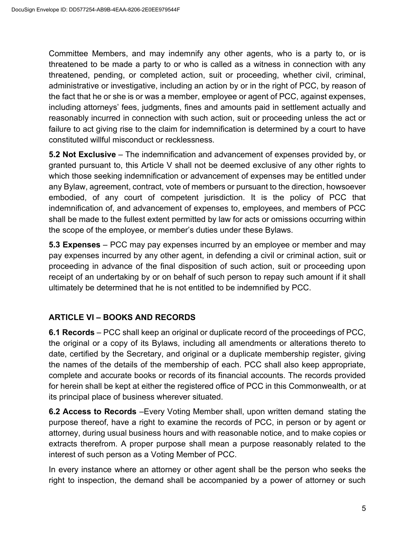Committee Members, and may indemnify any other agents, who is a party to, or is threatened to be made a party to or who is called as a witness in connection with any threatened, pending, or completed action, suit or proceeding, whether civil, criminal, administrative or investigative, including an action by or in the right of PCC, by reason of the fact that he or she is or was a member, employee or agent of PCC, against expenses, including attorneys' fees, judgments, fines and amounts paid in settlement actually and reasonably incurred in connection with such action, suit or proceeding unless the act or failure to act giving rise to the claim for indemnification is determined by a court to have constituted willful misconduct or recklessness.

**5.2 Not Exclusive** – The indemnification and advancement of expenses provided by, or granted pursuant to, this Article V shall not be deemed exclusive of any other rights to which those seeking indemnification or advancement of expenses may be entitled under any Bylaw, agreement, contract, vote of members or pursuant to the direction, howsoever embodied, of any court of competent jurisdiction. It is the policy of PCC that indemnification of, and advancement of expenses to, employees, and members of PCC shall be made to the fullest extent permitted by law for acts or omissions occurring within the scope of the employee, or member's duties under these Bylaws.

**5.3 Expenses** – PCC may pay expenses incurred by an employee or member and may pay expenses incurred by any other agent, in defending a civil or criminal action, suit or proceeding in advance of the final disposition of such action, suit or proceeding upon receipt of an undertaking by or on behalf of such person to repay such amount if it shall ultimately be determined that he is not entitled to be indemnified by PCC.

### **ARTICLE VI – BOOKS AND RECORDS**

**6.1 Records** – PCC shall keep an original or duplicate record of the proceedings of PCC, the original or a copy of its Bylaws, including all amendments or alterations thereto to date, certified by the Secretary, and original or a duplicate membership register, giving the names of the details of the membership of each. PCC shall also keep appropriate, complete and accurate books or records of its financial accounts. The records provided for herein shall be kept at either the registered office of PCC in this Commonwealth, or at its principal place of business wherever situated.

**6.2 Access to Records** –Every Voting Member shall, upon written demand stating the purpose thereof, have a right to examine the records of PCC, in person or by agent or attorney, during usual business hours and with reasonable notice, and to make copies or extracts therefrom. A proper purpose shall mean a purpose reasonably related to the interest of such person as a Voting Member of PCC.

In every instance where an attorney or other agent shall be the person who seeks the right to inspection, the demand shall be accompanied by a power of attorney or such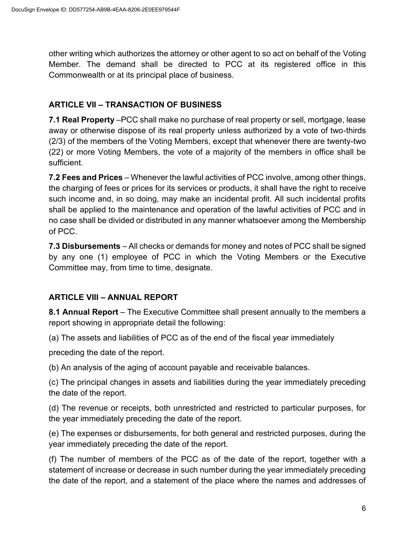other writing which authorizes the attorney or other agent to so act on behalf of the Voting Member. The demand shall be directed to PCC at its registered office in this Commonwealth or at its principal place of business.

#### **ARTICLE VII – TRANSACTION OF BUSINESS**

**7.1 Real Property** –PCC shall make no purchase of real property or sell, mortgage, lease away or otherwise dispose of its real property unless authorized by a vote of two-thirds (2/3) of the members of the Voting Members, except that whenever there are twenty-two (22) or more Voting Members, the vote of a majority of the members in office shall be sufficient.

**7.2 Fees and Prices** – Whenever the lawful activities of PCC involve, among other things, the charging of fees or prices for its services or products, it shall have the right to receive such income and, in so doing, may make an incidental profit. All such incidental profits shall be applied to the maintenance and operation of the lawful activities of PCC and in no case shall be divided or distributed in any manner whatsoever among the Membership of PCC.

**7.3 Disbursements** – All checks or demands for money and notes of PCC shall be signed by any one (1) employee of PCC in which the Voting Members or the Executive Committee may, from time to time, designate.

#### **ARTICLE VIII – ANNUAL REPORT**

**8.1 Annual Report** – The Executive Committee shall present annually to the members a report showing in appropriate detail the following:

(a) The assets and liabilities of PCC as of the end of the fiscal year immediately

preceding the date of the report.

(b) An analysis of the aging of account payable and receivable balances.

(c) The principal changes in assets and liabilities during the year immediately preceding the date of the report.

(d) The revenue or receipts, both unrestricted and restricted to particular purposes, for the year immediately preceding the date of the report.

(e) The expenses or disbursements, for both general and restricted purposes, during the year immediately preceding the date of the report.

(f) The number of members of the PCC as of the date of the report, together with a statement of increase or decrease in such number during the year immediately preceding the date of the report, and a statement of the place where the names and addresses of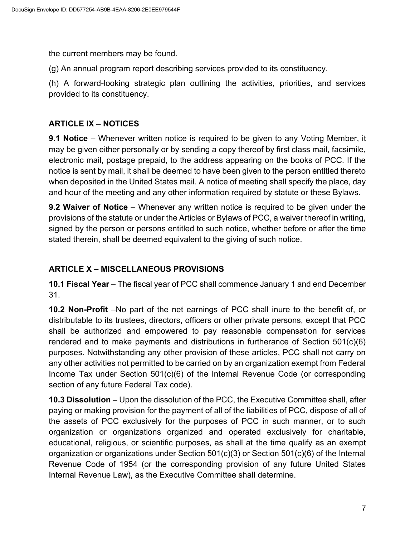the current members may be found.

(g) An annual program report describing services provided to its constituency.

(h) A forward-looking strategic plan outlining the activities, priorities, and services provided to its constituency.

#### **ARTICLE IX – NOTICES**

**9.1 Notice** – Whenever written notice is required to be given to any Voting Member, it may be given either personally or by sending a copy thereof by first class mail, facsimile, electronic mail, postage prepaid, to the address appearing on the books of PCC. If the notice is sent by mail, it shall be deemed to have been given to the person entitled thereto when deposited in the United States mail. A notice of meeting shall specify the place, day and hour of the meeting and any other information required by statute or these Bylaws.

**9.2 Waiver of Notice** – Whenever any written notice is required to be given under the provisions of the statute or under the Articles or Bylaws of PCC, a waiver thereof in writing, signed by the person or persons entitled to such notice, whether before or after the time stated therein, shall be deemed equivalent to the giving of such notice.

### **ARTICLE X – MISCELLANEOUS PROVISIONS**

**10.1 Fiscal Year** – The fiscal year of PCC shall commence January 1 and end December 31.

**10.2 Non-Profit** –No part of the net earnings of PCC shall inure to the benefit of, or distributable to its trustees, directors, officers or other private persons, except that PCC shall be authorized and empowered to pay reasonable compensation for services rendered and to make payments and distributions in furtherance of Section  $501(c)(6)$ purposes. Notwithstanding any other provision of these articles, PCC shall not carry on any other activities not permitted to be carried on by an organization exempt from Federal Income Tax under Section 501(c)(6) of the Internal Revenue Code (or corresponding section of any future Federal Tax code).

**10.3 Dissolution** – Upon the dissolution of the PCC, the Executive Committee shall, after paying or making provision for the payment of all of the liabilities of PCC, dispose of all of the assets of PCC exclusively for the purposes of PCC in such manner, or to such organization or organizations organized and operated exclusively for charitable, educational, religious, or scientific purposes, as shall at the time qualify as an exempt organization or organizations under Section 501(c)(3) or Section 501(c)(6) of the Internal Revenue Code of 1954 (or the corresponding provision of any future United States Internal Revenue Law), as the Executive Committee shall determine.